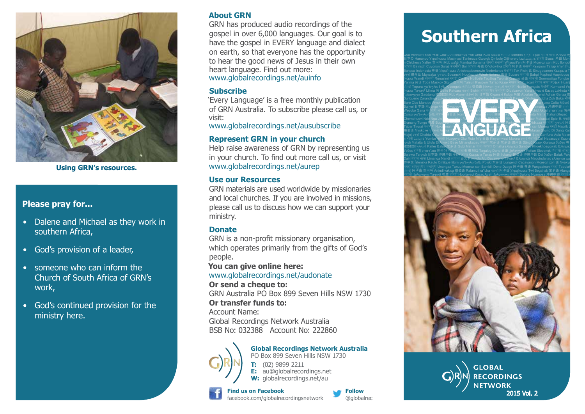

**Using GRN's resources.**

### **Please pray for...**

- Dalene and Michael as they work in southern Africa,
- • God's provision of a leader,
- someone who can inform the Church of South Africa of GRN's work,
- • God's continued provision for the ministry here.

#### **About GRN**

GRN has produced audio recordings of the gospel in over 6,000 languages. Our goal is to have the gospel in EVERY language and dialect on earth, so that everyone has the opportunity to hear the good news of Jesus in their own heart language. Find out more: www.globalrecordings.net/auinfo

#### **Subscribe**

'Every Language' is a free monthly publication of GRN Australia. To subscribe please call us, or visit:

www.globalrecordings.net/ausubscribe

### **Represent GRN in your church**

Help raise awareness of GRN by representing us in your church. To find out more call us, or visit www.globalrecordings.net/aurep

#### **Use our Resources**

GRN materials are used worldwide by missionaries and local churches. If you are involved in missions, please call us to discuss how we can support your ministry.

#### **Donate**

GRN is a non-profit missionary organisation, which operates primarily from the gifts of God's people.

**You can give online here:** 

#### www.globalrecordings.net/audonate

**Or send a cheque to:** 

GRN Australia PO Box 899 Seven Hills NSW 1730 **Or transfer funds to:**

Account Name: Global Recordings Network Australia BSB No: 032388 Account No: 222860



**Global Recordings Network Australia** PO Box 899 Seven Hills NSW 1730 **T:** (02) 9899 2211 **E:** au@globalrecordings.net W: globalrecordings.net/au

#### **Find us on Facebook** facebook.com/globalrecordingsnetwork



# **Southern Africa**

Català ಕನ್ನಡ 吴语 Nkim Pileni ελληνικα 阿卡语 Kipopoi Dimmuk Mianmin Samal Jarawara ლაზური ნენა Português Qua Achhami Koo क⊯ Cha't An Ilchamus Yoti Uma' Kulit Mapia कുலனை Ndrenet होन्दो Tipai नेपाल भाषा Kreyòl Ayis 日本の Hanunoo Українська Masimasi Tanimuca Gworok Ombole Otjiherero Izzi Հայերէն डागरा Siausi 角苗 Монг л Chichewa Узбек 한국어 闽北 தமிழ் Mambai Bunama डांगरी संथाली Witsuwit'en 阿卡语 Монгол хэл 闽北 Ilongot ಕನ್ನಡ Bairisch Cuyonon Suraji कश्मारा Boi ಕನ್ನಡ 粤语 Onotowaka होन्दी 阿卡语 संथाला Къырым Татар ภาษาไทย Bahasa Indonesia 특语 Українська Anishnaabemowin Nederlands मैथोली Tok Pisin 诘 Sinugboanon Къырым Та કચ્ચ 徽州话 Mansaka ગુજરાતી Bosanski Nu<u>uč</u>aan<del>ul Wirah Italiano 粤语</del> Supare संथाली Babai Maphod Haqniqdoq । їнська Wandi कोंकणी Runasimi मराठी Colville Ndébélé Tagálog Таҷикй Кыргыз 吴语 कोंकणी Soomaaliga Fɔngbè Yalima 吴语 Toba Maskoy Sigidi 한국어 Taisun Къырым Татар Қазақ नेपाल भाषा Jacari नेपाल भाषा Poljski Huarijio



ҷикй Mataita & Ufufu Ελληνικά Baso Minangkabau नेपाली 东乡语 东乡语 徽州话 Sängö Қазақ Gurawa Узбек 粤। ગુજરાતી Paíter Balue 东乡语 Gubi Mahar ತುಳು ಕನ್ನಡ Omaha ελληνικα Sambyo Khoekhoegowab Ελληνικά Ўзбек हिनदी ภาษาไทย 한국어 Yakan संथाली 徽州话 Tagalog Dano 吴语 ქართული Pattae Slovenski मैथिली भोजपुरी Bajawa Таҷикй 日本語 沖縄中部 नेपाल भाषा Къырым Татар 阿美 Ilokano 錫伯语 沖縄中部 Dai Узбек Batak Paki Dairi नेपाल भाषा Limanga Nandi ಕನ್ನಡ 台文 K<del>inonda Alu Davaweno Та</del>ҷикй Ελληνικά Maguindanao ελληνικα தமி 体中文 Islenska Rauto Cmiique Iitom ლაზური ნენა Polski 东乡语 Lungendi Cagayanon Монгол хэл 话 Nyakyu मगही बाष्नुप्रीय मणापुरी Unangax Tunuu Moнroл хэл Bambili Dene Dzage 阿卡语 粤语 Pangasinan मगही Tabulah ਪਜਾਬੀ 阿卡语 한국어 Anindilyakwa 锡伯语 Ralámuli ra'ícha ਪੰਜਾਬੀ 阿卡语 Українська Twi Begahak 东乡语 Alanga



**GLOBAL RECORDINGS NETWORK** 2015 Vol. 2